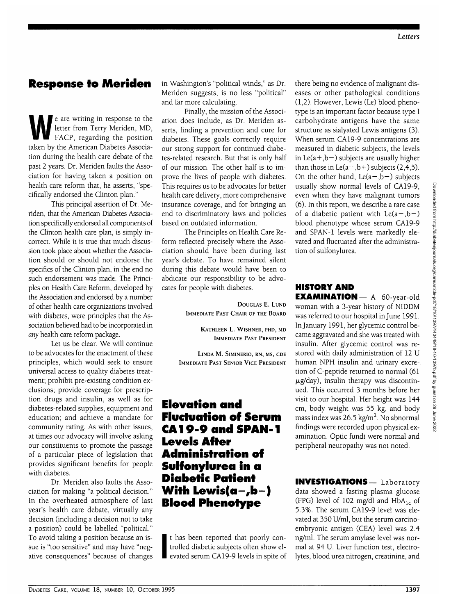#### **Response to Meriden**

e are writing in response to the<br>letter from Terry Meriden, MD,<br>FACP, regarding the position letter from Terry Meriden, MD, FACP, regarding the position taken by the American Diabetes Association during the health care debate of the past 2 years. Dr. Meriden faults the Association for having taken a position on health care reform that, he asserts, "specifically endorsed the Clinton plan."

This principal assertion of Dr. Meriden, that the American Diabetes Association specifically endorsed all components of the Clinton health care plan, is simply incorrect. While it is true that much discussion took place about whether the Association should or should not endorse the specifics of the Clinton plan, in the end no such endorsement was made. The Principles on Health Care Reform, developed by the Association and endorsed by a number of other health care organizations involved with diabetes, were principles that the Association believed had to be incorporated in *any* health care reform package.

Let us be clear. We will continue to be advocates for the enactment of these principles, which would seek to ensure universal access to quality diabetes treatment; prohibit pre-existing condition exclusions; provide coverage for prescription drugs and insulin, as well as for diabetes-related supplies, equipment and education; and achieve a mandate for community rating. As with other issues, at times our advocacy will involve asking our constituents to promote the passage of a particular piece of legislation that provides significant benefits for people with diabetes.

Dr. Meriden also faults the Association for making "a political decision." In the overheated atmosphere of last year's health care debate, virtually any decision (including a decision not to take a position) could be labelled "political." To avoid taking a position because an issue is "too sensitive" and may have "negative consequences" because of changes in Washington's "political winds," as Dr. Meriden suggests, is no less "political" and far more calculating.

Finally, the mission of the Association does include, as Dr. Meriden asserts, finding a prevention and cure for diabetes. These goals correctly require our strong support for continued diabetes-related research. But that is only half of our mission. The other half is to improve the lives of people with diabetes. This requires us to be advocates for better health care delivery, more comprehensive insurance coverage, and for bringing an end to discriminatory laws and policies based on outdated information.

The Principles on Health Care Reform reflected precisely where the Association should have been during last year's debate. To have remained silent during this debate would have been to abdicate our responsibility to be advocates for people with diabetes.

> DOUGLAS E. LUND IMMEDIATE PAST CHAIR OF THE BOARD

> > KATHLEEN L. WISHNER, PHD, MD IMMEDIATE PAST PRESIDENT

LINDA M. SIMINERIO, RN, MS, CDE IMMEDIATE PAST SENIOR VICE PRESIDENT

## **Elevation and Fluctuation of Serum CA19-9 and SPAN-1 Levels After Administration of Sulfonylurea in a Diabetic Patient With Lewis(a-,b-) Blood Phenotype**

**i** t has been reported that poorly controlled diabetic subjects often show elevated serum CA19-9 levels in spite of there being no evidence of malignant diseases or other pathological conditions (1,2). However, Lewis (Le) blood phenotype is an important factor because type I carbohydrate antigens have the same structure as sialyated Lewis antigens (3). When serum CA19-9 concentrations are measured in diabetic subjects, the levels in Le( $a + b$ ) subjects are usually higher than those in  $Le(a-,b+)$  subjects  $(2,4,5)$ . On the other hand,  $Le(a-,b-)$  subjects usually show normal levels of CA19-9, even when they have malignant tumors (6). In this report, we describe a rare case of a diabetic patient with  $Le(a-,b-)$ blood phenotype whose serum CA19-9 and SPAN-1 levels were markedly elevated and fluctuated after the administration of sulfonylurea.

#### **HISTORY AND**

EXAMINATION - A 60-year-old woman with a 3-year history of NIDDM was referred to our hospital in June 1991. In January 1991, her glycemic control became aggravated and she was treated with insulin. After glycemic control was restored with daily administration of 12 U human NPH insulin and urinary excretion of C-peptide returned to normal (61  $\mu$ g/day), insulin therapy was discontinued. This occurred 3 months before her visit to our hospital. Her height was 144 cm, body weight was 55 kg, and body mass index was 26.5 kg/m<sup>2</sup>. No abnormal findings were recorded upon physical examination. Optic fundi were normal and peripheral neuropathy was not noted.

INVESTIGATIONS— Laboratory data showed a fasting plasma glucose (FPG) level of 102 mg/dl and  $HbA_{1c}$  of 5.3%. The serum CA19-9 level was elevated at 350 U/ml, but the serum carcinoembryonic antigen (CEA) level was 2.4 ng/ml. The serum amylase level was normal at 94 U. Liver function test, electrolytes, blood urea nitrogen, creatinine, and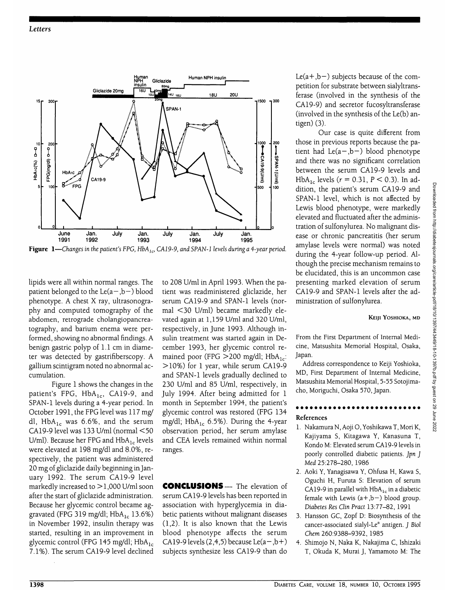

Figure 1—Changes in the patient's FPG, HbA<sub>1c</sub>, CA19-9, and SPAN-1 levels during a 4-year period.

lipids were all within normal ranges. The patient belonged to the  $Le(a-, b-)$  blood phenotype. A chest X ray, ultrasonography and computed tomography of the abdomen, retrograde cholangiopancreatography, and barium enema were performed, showing no abnormal findings. A benign gastric polyp of 1.1 cm in diameter was detected by gastrifiberscopy. A gallium scintigram noted no abnormal accumulation.

Figure 1 shows the changes in the patient's FPG,  $HbA_{1c}$ , CA19-9, and SPAN-1 levels during a 4-year period. In October 1991, the FPG level was 117 mg/ dl, Hb $A_{1c}$  was 6.6%, and the serum CA19-9 level was 133 U/ml (normal <50 U/ml). Because her FPG and  $HbA_{1c}$  levels were elevated at 198 mg/dl and 8.0%, respectively, the patient was administered 20 mg of gliclazide daily beginning in January 1992. The serum CA19-9 level markedly increased to  $>$  1,000 U/ml soon after the start of gliclazide administration. Because her glycemic control became aggravated (FPG 319 mg/dl;  $HbA_{1c}$  13.6%) in November 1992, insulin therapy was started, resulting in an improvement in glycemic control (FPG 145 mg/dl; HbA<sub>1c</sub> 7.1%). The serum CA19-9 level declined

to 208 U/ml in April 1993. When the patient was readministered gliclazide, her serum CA19-9 and SPAN-1 levels (normal <30 U/ml) became markedly elevated again at 1,159 U/ml and 320 U/ml, respectively, in June 1993. Although insulin treatment was started again in December 1993, her glycemic control remained poor (FPG  $>$  200 mg/dl; HbA<sub>1c</sub>: >10%) for 1 year, while serum CA19-9 and SPAN-1 levels gradually declined to 230 U/ml and 85 U/ml, respectively, in July 1994. After being admitted for 1 month in September 1994, the patient's glycemic control was restored (FPG 134 mg/dl; Hb $A_{1c}$  6.5%). During the 4-year observation period, her serum amylase and CEA levels remained within normal ranges.

CONCLUSIONS— The elevation of serum CA19-9 levels has been reported in association with hyperglycemia in diabetic patients without malignant diseases (1,2). It is also known that the Lewis blood phenotype affects the serum CA19-9 levels  $(2,4,5)$  because Le $(a-,b+)$ subjects synthesize less CA19-9 than do

Le( $a + b$ ) subjects because of the competition for substrate between sialyltransferase (involved in the synthesis of the CA19-9) and secretor fucosyltransferase (involved in the synthesis of the Le(b) antigen) (3).

Our case is quite different from those in previous reports because the patient had  $Le(a-,b-)$  blood phenotype and there was no significant correlation between the serum CA19-9 levels and HbA<sub>1c</sub> levels ( $r = 0.31$ ,  $P < 0.3$ ). In addition, the patient's serum CA19-9 and SPAN-1 level, which is not affected by Lewis blood phenotype, were markedly elevated and fluctuated after the administration of sulfonylurea. No malignant disease or chronic pancreatitis (her serum amylase levels were normal) was noted during the 4-year follow-up period. Although the precise mechanism remains to be elucidated, this is an uncommon case presenting marked elevation of serum CA19-9 and SPAN-1 levels after the administration of sulfonylurea.

**KEIJI** YOSHIOKA, MD

From the First Department of Internal Medicine, Matsushita Memorial Hospital, Osaka, Japan.

Address correspondence to Keiji Yoshioka, MD, First Department of Internal Medicine, Matsushita Memorial Hospital, 5-55 Sotojimacho, Moriguchi, Osaka 570, Japan.

# **References**

- 1. Nakamura N, Aoji O, Yoshikawa T, Mori K, Kajiyama S, Kitagawa Y, Kanasuna T, Kondo M: Elevated serum CA19-9 levels in poorly controlled diabetic patients. *Jpn J Ued* 25:278-280, 1986
- 2. Aoki Y, Yanagisawa Y, Ohfusa H, Kawa S, Oguchi H, Furuta S: Elevation of serum CA19-9 in parallel with  $HbA_{1c}$  in a diabetic female with Lewis  $(a+,b-)$  blood group. *Diabetes Res Clin Pract* 13:77-82, 1991
- 3. Hansson GC, Zopf D: Biosynthesis of the cancer-associated sialyl-Le<sup>a</sup> antigen. *J Biol Chem* 260:9388-9392, 1985
- 4. Shimojo N, Naka K, Nakajima C, Ishizaki T, Okuda K, Murai J, Yamamoto M: The